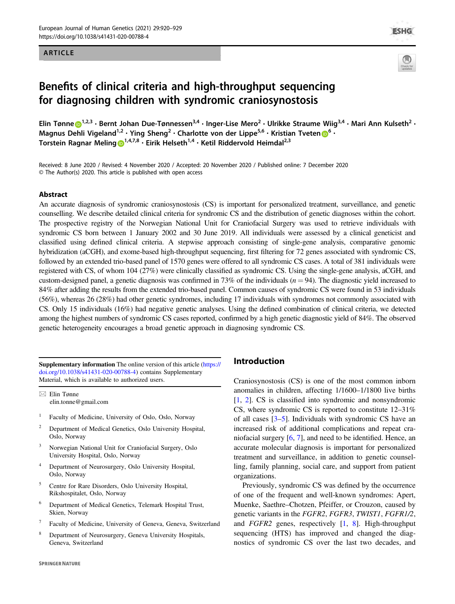### ARTICLE



# Benefits of clinical criteria and high-throughput sequencing for diagnosing children with syndromic craniosynostosis

Elin Tønn[e](http://orcid.org/0000-0002-3547-9280)  $\bullet^{1,2,3}$  $\bullet^{1,2,3}$  $\bullet^{1,2,3}$  • Bernt Johan Due-Tønnessen $^{3,4}$  • Inger-Lise Mero $^2$  • Ulrikke Straume Wiig $^{3,4}$  • Mari Ann Kulseth $^2$  • Magnus Dehli Vigeland<sup>1,2</sup> · Ying Sheng<sup>2</sup> · Charlotte von der Lippe<sup>5,[6](http://orcid.org/0000-0003-1316-5843)</sup> · Kristian Tveten **D**<sup>6</sup> · Torstein Ragnar Meling D<sup>[1](http://orcid.org/0000-0001-6595-0873),4,7,8</sup> • Eirik Helseth<sup>1,4</sup> • Ketil Riddervold Heimdal<sup>2,3</sup>

Received: 8 June 2020 / Revised: 4 November 2020 / Accepted: 20 November 2020 / Published online: 7 December 2020 © The Author(s) 2020. This article is published with open access

### Abstract

An accurate diagnosis of syndromic craniosynostosis (CS) is important for personalized treatment, surveillance, and genetic counselling. We describe detailed clinical criteria for syndromic CS and the distribution of genetic diagnoses within the cohort. The prospective registry of the Norwegian National Unit for Craniofacial Surgery was used to retrieve individuals with syndromic CS born between 1 January 2002 and 30 June 2019. All individuals were assessed by a clinical geneticist and classified using defined clinical criteria. A stepwise approach consisting of single-gene analysis, comparative genomic hybridization (aCGH), and exome-based high-throughput sequencing, first filtering for 72 genes associated with syndromic CS, followed by an extended trio-based panel of 1570 genes were offered to all syndromic CS cases. A total of 381 individuals were registered with CS, of whom 104 (27%) were clinically classified as syndromic CS. Using the single-gene analysis, aCGH, and custom-designed panel, a genetic diagnosis was confirmed in 73% of the individuals  $(n = 94)$ . The diagnostic yield increased to 84% after adding the results from the extended trio-based panel. Common causes of syndromic CS were found in 53 individuals (56%), whereas 26 (28%) had other genetic syndromes, including 17 individuals with syndromes not commonly associated with CS. Only 15 individuals (16%) had negative genetic analyses. Using the defined combination of clinical criteria, we detected among the highest numbers of syndromic CS cases reported, confirmed by a high genetic diagnostic yield of 84%. The observed genetic heterogeneity encourages a broad genetic approach in diagnosing syndromic CS.

Supplementary information The online version of this article ([https://](https://doi.org/10.1038/s41431-020-00788-4) [doi.org/10.1038/s41431-020-00788-4\)](https://doi.org/10.1038/s41431-020-00788-4) contains Supplementary Material, which is available to authorized users.

 $\boxtimes$  Elin Tønne [elin.tonne@gmail.com](mailto:elin.tonne@gmail.com)

- <sup>1</sup> Faculty of Medicine, University of Oslo, Oslo, Norway
- <sup>2</sup> Department of Medical Genetics, Oslo University Hospital, Oslo, Norway
- <sup>3</sup> Norwegian National Unit for Craniofacial Surgery, Oslo University Hospital, Oslo, Norway
- <sup>4</sup> Department of Neurosurgery, Oslo University Hospital, Oslo, Norway
- <sup>5</sup> Centre for Rare Disorders, Oslo University Hospital, Rikshospitalet, Oslo, Norway
- <sup>6</sup> Department of Medical Genetics, Telemark Hospital Trust, Skien, Norway
- <sup>7</sup> Faculty of Medicine, University of Geneva, Geneva, Switzerland
- <sup>8</sup> Department of Neurosurgery, Geneva University Hospitals, Geneva, Switzerland

## Introduction

Craniosynostosis (CS) is one of the most common inborn anomalies in children, affecting 1/1600–1/1800 live births [\[1](#page-8-0), [2\]](#page-8-0). CS is classified into syndromic and nonsyndromic CS, where syndromic CS is reported to constitute 12–31% of all cases [[3](#page-8-0)–[5\]](#page-8-0). Individuals with syndromic CS have an increased risk of additional complications and repeat craniofacial surgery [[6,](#page-8-0) [7\]](#page-8-0), and need to be identified. Hence, an accurate molecular diagnosis is important for personalized treatment and surveillance, in addition to genetic counselling, family planning, social care, and support from patient organizations.

Previously, syndromic CS was defined by the occurrence of one of the frequent and well-known syndromes: Apert, Muenke, Saethre–Chotzen, Pfeiffer, or Crouzon, caused by genetic variants in the FGFR2, FGFR3, TWIST1, FGFR1/2, and FGFR2 genes, respectively [\[1](#page-8-0), [8](#page-8-0)]. High-throughput sequencing (HTS) has improved and changed the diagnostics of syndromic CS over the last two decades, and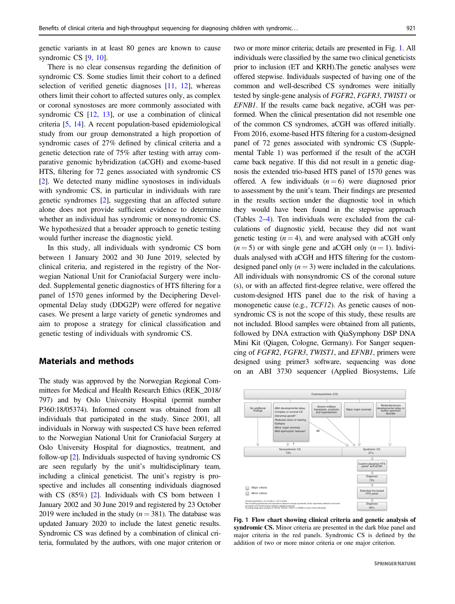<span id="page-1-0"></span>genetic variants in at least 80 genes are known to cause syndromic CS [[9,](#page-8-0) [10\]](#page-8-0).

There is no clear consensus regarding the definition of syndromic CS. Some studies limit their cohort to a defined selection of verified genetic diagnoses [\[11](#page-8-0), [12](#page-8-0)], whereas others limit their cohort to affected sutures only, as complex or coronal synostoses are more commonly associated with syndromic CS [\[12](#page-8-0), [13](#page-8-0)], or use a combination of clinical criteria [\[5](#page-8-0), [14](#page-8-0)]. A recent population-based epidemiological study from our group demonstrated a high proportion of syndromic cases of 27% defined by clinical criteria and a genetic detection rate of 75% after testing with array comparative genomic hybridization (aCGH) and exome-based HTS, filtering for 72 genes associated with syndromic CS [\[2](#page-8-0)]. We detected many midline synostoses in individuals with syndromic CS, in particular in individuals with rare genetic syndromes [\[2](#page-8-0)], suggesting that an affected suture alone does not provide sufficient evidence to determine whether an individual has syndromic or nonsyndromic CS. We hypothesized that a broader approach to genetic testing would further increase the diagnostic yield.

In this study, all individuals with syndromic CS born between 1 January 2002 and 30 June 2019, selected by clinical criteria, and registered in the registry of the Norwegian National Unit for Craniofacial Surgery were included. Supplemental genetic diagnostics of HTS filtering for a panel of 1570 genes informed by the Deciphering Developmental Delay study (DDG2P) were offered for negative cases. We present a large variety of genetic syndromes and aim to propose a strategy for clinical classification and genetic testing of individuals with syndromic CS.

### Materials and methods

The study was approved by the Norwegian Regional Committees for Medical and Health Research Ethics (REK\_2018/ 797) and by Oslo University Hospital (permit number P360:18/05374). Informed consent was obtained from all individuals that participated in the study. Since 2001, all individuals in Norway with suspected CS have been referred to the Norwegian National Unit for Craniofacial Surgery at Oslo University Hospital for diagnostics, treatment, and follow-up [[2\]](#page-8-0). Individuals suspected of having syndromic CS are seen regularly by the unit's multidisciplinary team, including a clinical geneticist. The unit's registry is prospective and includes all consenting individuals diagnosed with CS (85%) [\[2\]](#page-8-0). Individuals with CS born between 1 January 2002 and 30 June 2019 and registered by 23 October 2019 were included in the study ( $n = 381$ ). The database was updated January 2020 to include the latest genetic results. Syndromic CS was defined by a combination of clinical criteria, formulated by the authors, with one major criterion or two or more minor criteria; details are presented in Fig. 1. All individuals were classified by the same two clinical geneticists prior to inclusion (ET and KRH).The genetic analyses were offered stepwise. Individuals suspected of having one of the common and well-described CS syndromes were initially tested by single-gene analysis of FGFR2, FGFR3, TWIST1 or EFNB1. If the results came back negative, aCGH was performed. When the clinical presentation did not resemble one of the common CS syndromes, aCGH was offered initially. From 2016, exome-based HTS filtering for a custom-designed panel of 72 genes associated with syndromic CS (Supplemental Table 1) was performed if the result of the aCGH came back negative. If this did not result in a genetic diagnosis the extended trio-based HTS panel of 1570 genes was offered. A few individuals  $(n = 6)$  were diagnosed prior to assessment by the unit's team. Their findings are presented in the results section under the diagnostic tool in which they would have been found in the stepwise approach (Tables [2](#page-3-0)–[4\)](#page-6-0). Ten individuals were excluded from the calculations of diagnostic yield, because they did not want genetic testing  $(n = 4)$ , and were analysed with aCGH only  $(n = 5)$  or with single gene and aCGH only  $(n = 1)$ . Individuals analysed with aCGH and HTS filtering for the customdesigned panel only  $(n = 3)$  were included in the calculations. All individuals with nonsyndromic CS of the coronal suture (s), or with an affected first-degree relative, were offered the custom-designed HTS panel due to the risk of having a monogenetic cause (e.g., *TCF12*). As genetic causes of nonsyndromic CS is not the scope of this study, these results are not included. Blood samples were obtained from all patients, followed by DNA extraction with QiaSymphony DSP DNA Mini Kit (Qiagen, Cologne, Germany). For Sanger sequencing of FGFR2, FGFR3, TWIST1, and EFNB1, primers were designed using primer3 software, sequencing was done on an ABI 3730 sequencer (Applied Biosystems, Life



Fig. 1 Flow chart showing clinical criteria and genetic analysis of syndromic CS. Minor criteria are presented in the dark blue panel and major criteria in the red panels. Syndromic CS is defined by the addition of two or more minor criteria or one major criterion.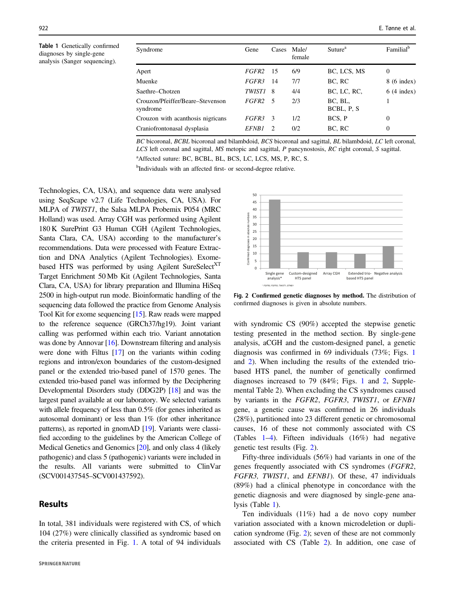<span id="page-2-0"></span>Table 1 Genetically confirmed diagnoses by single-gene analysis (Sanger sequencing).

| Syndrome                                     | Gene          | Cases | Male/<br>female | Suture <sup>a</sup>    | Familial <sup>b</sup> |
|----------------------------------------------|---------------|-------|-----------------|------------------------|-----------------------|
| Apert                                        | <i>FGFR2</i>  | - 15  | 6/9             | BC, LCS, MS            | $\overline{0}$        |
| Muenke                                       | FGFR3         | 14    | 7/7             | BC, RC                 | $8(6 \text{ index})$  |
| Saethre–Chotzen                              | <i>TWIST1</i> | - 8   | 4/4             | BC, LC, RC,            | $6(4$ index)          |
| Crouzon/Pfeiffer/Beare–Stevenson<br>syndrome | <i>FGFR2</i>  | - 5   | 2/3             | BC, BL,<br>BCBL, P. S. |                       |
| Crouzon with acanthosis nigricans            | <i>FGFR3</i>  | - 3   | 1/2             | BCS, P                 | $\overline{0}$        |
| Craniofrontonasal dysplasia                  | <i>EFNB1</i>  | 2     | 0/2             | BC, RC                 | $\overline{0}$        |

BC bicoronal, BCBL bicoronal and bilambdoid, BCS bicoronal and sagittal, BL bilambdoid, LC left coronal, LCS left coronal and sagittal, MS metopic and sagittal, P pancynostosis, RC right coronal, S sagittal. <sup>a</sup>Affected suture: BC, BCBL, BL, BCS, LC, LCS, MS, P, RC, S.

0

Confirmed diagnoses in absolute numbers

Confir

unbers. bsolute  $\frac{9}{9}$ 

Single gene analysis\*

\* *FGFR2, FGFR3*, *TWIST1, EFNB1*

Custom-design HTS panel

<sup>b</sup>Individuals with an affected first- or second-degree relative.

Technologies, CA, USA), and sequence data were analysed using SeqScape v2.7 (Life Technologies, CA, USA). For MLPA of TWIST1, the Salsa MLPA Probemix P054 (MRC Holland) was used. Array CGH was performed using Agilent 180 K SurePrint G3 Human CGH (Agilent Technologies, Santa Clara, CA, USA) according to the manufacturer's recommendations. Data were processed with Feature Extraction and DNA Analytics (Agilent Technologies). Exomebased HTS was performed by using Agilent SureSelect<sup>XT</sup> Target Enrichment 50 Mb Kit (Agilent Technologies, Santa Clara, CA, USA) for library preparation and Illumina HiSeq 2500 in high‐output run mode. Bioinformatic handling of the sequencing data followed the practice from Genome Analysis Tool Kit for exome sequencing [[15\]](#page-8-0). Raw reads were mapped to the reference sequence (GRCh37/hg19). Joint variant calling was performed within each trio. Variant annotation was done by Annovar [[16](#page-8-0)]. Downstream filtering and analysis were done with Filtus [[17](#page-8-0)] on the variants within coding regions and intron/exon boundaries of the custom-designed panel or the extended trio-based panel of 1570 genes. The extended trio-based panel was informed by the Deciphering Developmental Disorders study (DDG2P) [[18](#page-9-0)] and was the largest panel available at our laboratory. We selected variants with allele frequency of less than 0.5% (for genes inherited as autosomal dominant) or less than 1% (for other inheritance patterns), as reported in gnomAD [\[19\]](#page-9-0). Variants were classified according to the guidelines by the American College of Medical Genetics and Genomics [\[20\]](#page-9-0), and only class 4 (likely pathogenic) and class 5 (pathogenic) variants were included in the results. All variants were submitted to ClinVar (SCV001437545–SCV001437592).

# Results

In total, 381 individuals were registered with CS, of which 104 (27%) were clinically classified as syndromic based on the criteria presented in Fig. [1](#page-1-0). A total of 94 individuals



Array CGH Extended triobased HTS panel

Negative analysis

Fig. 2 Confirmed genetic diagnoses by method. The distribution of confirmed diagnoses is given in absolute numbers.

with syndromic CS (90%) accepted the stepwise genetic testing presented in the method section. By single-gene analysis, aCGH and the custom-designed panel, a genetic diagnosis was confirmed in 69 individuals (73%; Figs. [1](#page-1-0) and 2). When including the results of the extended triobased HTS panel, the number of genetically confirmed diagnoses increased to 79 (84%; Figs. [1](#page-1-0) and 2, Supplemental Table 2). When excluding the CS syndromes caused by variants in the FGFR2, FGFR3, TWIST1, or EFNB1 gene, a genetic cause was confirmed in 26 individuals (28%), partitioned into 23 different genetic or chromosomal causes, 16 of these not commonly associated with CS (Tables 1–[4\)](#page-6-0). Fifteen individuals (16%) had negative genetic test results (Fig. 2).

Fifty-three individuals (56%) had variants in one of the genes frequently associated with CS syndromes (FGFR2, FGFR3, TWIST1, and EFNB1). Of these, 47 individuals (89%) had a clinical phenotype in concordance with the genetic diagnosis and were diagnosed by single-gene analysis (Table 1).

Ten individuals (11%) had a de novo copy number variation associated with a known microdeletion or duplication syndrome (Fig. 2); seven of these are not commonly associated with CS (Table [2\)](#page-3-0). In addition, one case of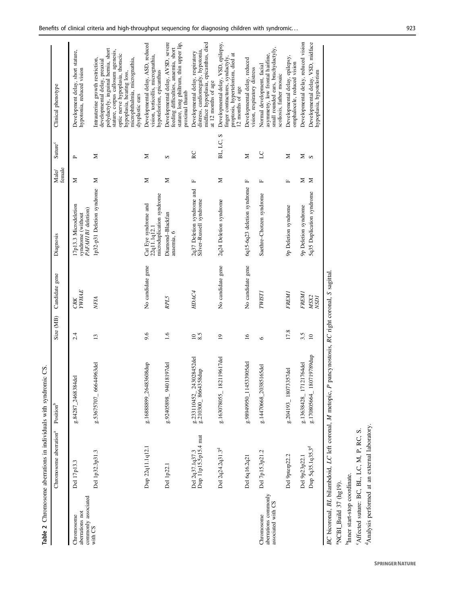<span id="page-3-0"></span>

|                                                          | Table 2 Chromosome aberrations in individuals with syndromic CS |                                                 |                  |                                              |                                                                   |                 |                      |                                                                                                                                                                                                                                                                     |
|----------------------------------------------------------|-----------------------------------------------------------------|-------------------------------------------------|------------------|----------------------------------------------|-------------------------------------------------------------------|-----------------|----------------------|---------------------------------------------------------------------------------------------------------------------------------------------------------------------------------------------------------------------------------------------------------------------|
|                                                          | Chromosome aberration <sup>a</sup>                              | Position <sup>b</sup>                           | Size (MB)        | Candidate gene                               | Diagnosis                                                         | female<br>Male/ | Suture <sup>c</sup>  | Clinical phenotype                                                                                                                                                                                                                                                  |
| commonly associated<br>aberrations not<br>Chromosome     | Del 17p13.3                                                     | g.84287_2468384del                              | 2.4              | <b>YWHAE</b><br>CRK                          | 17p13.3 Microdeletion<br>PAFAH1B1 deletion)<br>syndrome (without  | Σ               | $\mathbf{p}_i$       | Development delay, short stature,<br>hypotonia, reduced vision                                                                                                                                                                                                      |
| with CS                                                  | Del 1p32.3p31.3                                                 | g.53675707_66644963del                          | 13               | NFIA                                         | 1p32-p31 Deletion syndrome                                        | Σ               | Σ                    | polydactyly, inguinal hernia, short<br>stature, corpus callosum agenesis,<br>optic nerve hypoplasia, thoracic<br>microphthalmia, micrognathia,<br>Intrauterine growth restriction,<br>developmental delay, preaxial<br>hypoplasia, hearing loss,<br>dysplastic ears |
|                                                          | Dup 22q11.1q12.1                                                | g.16888899_26483608dup                          | 9.6              | No candidate gene                            | microduplication syndrome<br>Cat Eye syndrome and<br>22q11.1q12.1 | Σ               | Σ                    | Developmental delay, ASD, reduced<br>vision, torticollis, micrognathia,<br>hypotelorism, epicanthus                                                                                                                                                                 |
|                                                          | Del 1p22.1                                                      | g.92405898_94018197del                          | 1.6              | RPL5                                         | Diamond-Blackfan<br>anaemia, 6                                    | Σ               | S                    | Developmental delay, AVSD, severe<br>stature, long philtrum, thin upper lip,<br>feeding difficulties, anaemia, short<br>proximal thumb                                                                                                                              |
|                                                          | Del 2q37.1q37.3<br>Dup 11p15.5p15.4 mat                         | g.233110452_243028452del<br>g.210300_8664358dup | 8.5<br>$\approx$ | HDAC4                                        | 2q37 Deletion syndrome and<br>Silver-Russell syndrome             | $\mathbf{L}_i$  | RC                   | midface hypoplasia, epicanthus, died<br>distress, cardiomegaly, hypotonia,<br>Developmental delay, respiratory<br>at 12 months of age                                                                                                                               |
|                                                          | Del 2q24.2q31.3 <sup>d</sup>                                    | g.163078055_182119617del                        | $\overline{0}$   | No candidate gene                            | 2q24 Deletion syndrome                                            | Σ               | BL, LC, S            | Developmental delay, VSD, epilepsy,<br>proptosis, hypertelorism, died at<br>finger contractures, syndactyly,<br>12 months of age                                                                                                                                    |
|                                                          | Del 6q16.2q21                                                   | g.98949950_114533905del                         | $\tilde{=}$      | No candidate gene                            | 6q15-6q23 deletion syndrome                                       | р,              | Σ                    | Developmental delay, reduced<br>vision, respiratory distress                                                                                                                                                                                                        |
| aberrations commonly<br>associated with CS<br>Chromosome | Del 7p15.3p21.2                                                 | g.14470668_20385165del                          | $\circ$          | <b>TWIST1</b>                                | Saethre-Chotzen syndrome                                          | $\mathbf{L}$    | $\overline{C}$       | small rounded ears, brachydactyly,<br>asymmetry, low frontal hairline,<br>Normal development, facial<br>scoliosis, father mosaic                                                                                                                                    |
|                                                          | Del 9pterp22.2                                                  | 3357del<br>g.204193_18073                       | 17.8             | <b>FREM1</b>                                 | 9p Deletion syndrome                                              | $\mathbb{L}$    | Z                    | Developmental delay, epilepsy,<br>omphalocele, reduced vision                                                                                                                                                                                                       |
|                                                          | Del 9p23p22.1                                                   | g.13638428_17121764del                          | 3.5              | <b>FREM1</b>                                 | 9p Deletion syndrome                                              | Σ               | $\sum_{i=1}^{n} a_i$ | Developmental delay, reduced vision                                                                                                                                                                                                                                 |
|                                                          | Dup 5q35.1q35.3 <sup>d</sup>                                    | g.170805664_180719789dup                        | $\overline{a}$   | MSX2<br>NSD1                                 | 5q35 Duplication syndrome                                         | Σ               |                      | Developmental delay, VSD, midface<br>hypoplasia, hypotelorism                                                                                                                                                                                                       |
|                                                          | BC bicoronal, BL bilambdoid, LC left coronal, M metopic, P      |                                                 |                  | pancynostosis, RC right coronal, S sagittal. |                                                                   |                 |                      |                                                                                                                                                                                                                                                                     |

<sup>a</sup>NCBI\_Build 37 (hg19).  $^{a}$ NCBI\_Build 37 (hg19).

"Affected suture: BC, BL, LC, M, P, RC, S. cAffected suture: BC, BL, LC, M, P, RC, S. <sup>b</sup>Inner start-stop coordinate. bInner start-stop coordinate.

<sup>d</sup>Analysis performed at an external laboratory. <sup>d</sup>Analysis performed at an external laboratory.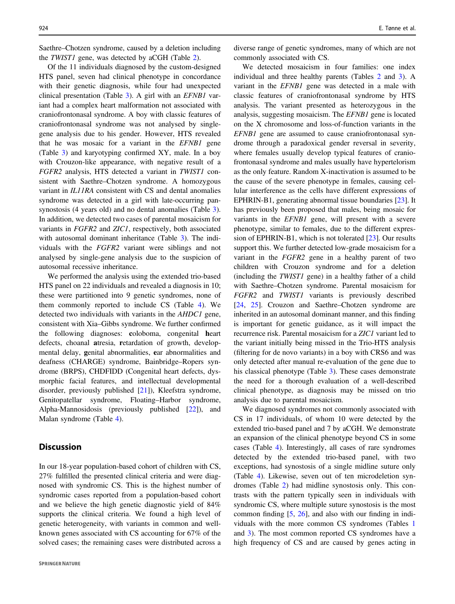Saethre–Chotzen syndrome, caused by a deletion including the *TWIST1* gene, was detected by aCGH (Table [2\)](#page-3-0).

Of the 11 individuals diagnosed by the custom-designed HTS panel, seven had clinical phenotype in concordance with their genetic diagnosis, while four had unexpected clinical presentation (Table [3](#page-5-0)). A girl with an EFNB1 variant had a complex heart malformation not associated with craniofrontonasal syndrome. A boy with classic features of craniofrontonasal syndrome was not analysed by singlegene analysis due to his gender. However, HTS revealed that he was mosaic for a variant in the EFNB1 gene (Table [3\)](#page-5-0) and karyotyping confirmed XY, male. In a boy with Crouzon-like appearance, with negative result of a FGFR2 analysis, HTS detected a variant in TWIST1 consistent with Saethre–Chotzen syndrome. A homozygous variant in IL11RA consistent with CS and dental anomalies syndrome was detected in a girl with late-occurring pansynostosis (4 years old) and no dental anomalies (Table [3](#page-5-0)). In addition, we detected two cases of parental mosaicism for variants in FGFR2 and ZIC1, respectively, both associated with autosomal dominant inheritance (Table [3](#page-5-0)). The individuals with the FGFR2 variant were siblings and not analysed by single-gene analysis due to the suspicion of autosomal recessive inheritance.

We performed the analysis using the extended trio-based HTS panel on 22 individuals and revealed a diagnosis in 10; these were partitioned into 9 genetic syndromes, none of them commonly reported to include CS (Table [4](#page-6-0)). We detected two individuals with variants in the AHDC1 gene, consistent with Xia–Gibbs syndrome. We further confirmed the following diagnoses: coloboma, congenital heart defects, choanal atresia, retardation of growth, developmental delay, genital abnormalities, ear abnormalities and deafness (CHARGE) syndrome, Bainbridge–Ropers syndrome (BRPS), CHDFIDD (Congenital heart defects, dysmorphic facial features, and intellectual developmental disorder, previously published [\[21](#page-9-0)]), Kleefstra syndrome, Genitopatellar syndrome, Floating–Harbor syndrome, Alpha-Mannosidosis (previously published [[22\]](#page-9-0)), and Malan syndrome (Table [4](#page-6-0)).

### **Discussion**

In our 18-year population-based cohort of children with CS, 27% fulfilled the presented clinical criteria and were diagnosed with syndromic CS. This is the highest number of syndromic cases reported from a population-based cohort and we believe the high genetic diagnostic yield of 84% supports the clinical criteria. We found a high level of genetic heterogeneity, with variants in common and wellknown genes associated with CS accounting for 67% of the solved cases; the remaining cases were distributed across a

diverse range of genetic syndromes, many of which are not commonly associated with CS.

We detected mosaicism in four families: one index individual and three healthy parents (Tables [2](#page-3-0) and [3\)](#page-5-0). A variant in the EFNB1 gene was detected in a male with classic features of craniofrontonasal syndrome by HTS analysis. The variant presented as heterozygous in the analysis, suggesting mosaicism. The EFNB1 gene is located on the X chromosome and loss-of-function variants in the EFNB1 gene are assumed to cause craniofrontonasal syndrome through a paradoxical gender reversal in severity, where females usually develop typical features of craniofrontonasal syndrome and males usually have hypertelorism as the only feature. Random X-inactivation is assumed to be the cause of the severe phenotype in females, causing cellular interference as the cells have different expressions of EPHRIN-B1, generating abnormal tissue boundaries [\[23](#page-9-0)]. It has previously been proposed that males, being mosaic for variants in the EFNB1 gene, will present with a severe phenotype, similar to females, due to the different expression of EPHRIN-B1, which is not tolerated [[23](#page-9-0)]. Our results support this. We further detected low-grade mosaicism for a variant in the FGFR2 gene in a healthy parent of two children with Crouzon syndrome and for a deletion (including the TWIST1 gene) in a healthy father of a child with Saethre–Chotzen syndrome. Parental mosaicism for FGFR2 and TWIST1 variants is previously described [\[24](#page-9-0), [25](#page-9-0)]. Crouzon and Saethre–Chotzen syndrome are inherited in an autosomal dominant manner, and this finding is important for genetic guidance, as it will impact the recurrence risk. Parental mosaicism for a ZIC1 variant led to the variant initially being missed in the Trio-HTS analysis (filtering for de novo variants) in a boy with CRS6 and was only detected after manual re-evaluation of the gene due to his classical phenotype (Table [3](#page-5-0)). These cases demonstrate the need for a thorough evaluation of a well-described clinical phenotype, as diagnosis may be missed on trio analysis due to parental mosaicism.

We diagnosed syndromes not commonly associated with CS in 17 individuals, of whom 10 were detected by the extended trio-based panel and 7 by aCGH. We demonstrate an expansion of the clinical phenotype beyond CS in some cases (Table [4\)](#page-6-0). Interestingly, all cases of rare syndromes detected by the extended trio-based panel, with two exceptions, had synostosis of a single midline suture only (Table [4](#page-6-0)). Likewise, seven out of ten microdeletion syndromes (Table [2\)](#page-3-0) had midline synostosis only. This contrasts with the pattern typically seen in individuals with syndromic CS, where multiple suture synostosis is the most common finding [[5,](#page-8-0) [26\]](#page-9-0), and also with our finding in individuals with the more common CS syndromes (Tables [1](#page-2-0) and [3](#page-5-0)). The most common reported CS syndromes have a high frequency of CS and are caused by genes acting in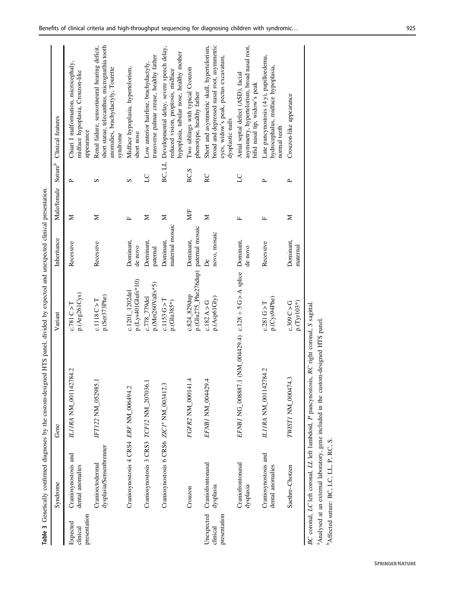<span id="page-5-0"></span>

|                                        |                                                       | Table 3 Genetically confirmed diagnoses by the custom-designed HTS panel, divided by expected and unexpected clinical presentation.                                                               |                                      |                              |              |                     |                                                                                                                                                       |
|----------------------------------------|-------------------------------------------------------|---------------------------------------------------------------------------------------------------------------------------------------------------------------------------------------------------|--------------------------------------|------------------------------|--------------|---------------------|-------------------------------------------------------------------------------------------------------------------------------------------------------|
|                                        | Syndrome                                              | Gene                                                                                                                                                                                              | Variant                              | Inheritance                  | Male/female  | Suture <sup>b</sup> | Clinical features                                                                                                                                     |
| presentation<br>Expected<br>clinical   | Craniosynostosis and<br>dental anomalies              | ILIIRA NM_001142784.2                                                                                                                                                                             | p.(Arg261Cys)<br>c.781C > T          | Recessive                    | Σ            | $\sim$              | Chiari I malformation, microcephaly,<br>midface hypoplasia, Crouzon-like<br>appearance                                                                |
|                                        | dysplasia/Sensenbrenner<br>Cranioectodermal           | IFT122 NM_052985.1                                                                                                                                                                                | p.(Ser373Phe)<br>c.1118C > T         | Recessive                    | Σ            | S                   | short statue, telecanthus, micrognathia tooth<br>Renal failure, sensorineural hearing deficit,<br>anomalies, brachydactyly, Tourette<br>syndrome      |
|                                        | Craniosynostosis 4 CRS4 ERF NM_006494.2               |                                                                                                                                                                                                   | p.(Lys401Glufs*10)<br>c.1201_1202del | Dominant,<br>de novo         | щ            | S                   | Midface hypoplasia, hypertelorism,<br>short nose                                                                                                      |
|                                        | Craniosynostosis 3 CRS3 TCF12 NM_207036.1             |                                                                                                                                                                                                   | p.(Met260Valfs*5)<br>c.778_779del    | Dominant,<br>paternal        | Σ            | 57                  | transverse palmar crease, healthy father<br>Low anterior hairline, brachydactyly,                                                                     |
|                                        | Craniosynostosis 6 CRS6 ZIC1 <sup>ª</sup> NM_003412.3 |                                                                                                                                                                                                   | c.1153G > T<br>p.(Glu385*)           | maternal mosaic<br>Dominant, | Σ            | BC, LL              | Developmental delay, severe speech delay,<br>hypoplasia, tubular nose, healthy mother<br>reduced vision, proptosis, midface                           |
|                                        | Crouzon                                               | 4.<br>FGFR2 NM_000141                                                                                                                                                                             | p.(Glu275_Phe276dup)<br>c.824_829dup | paternal mosaic<br>Dominant, | MÆ           | BC,S                | Two siblings with typical Crouzon<br>phenotype, healthy father                                                                                        |
| Unexpected<br>presentation<br>clinical | Craniofrontonasal<br>dysplasia                        | 4.<br>EFNBI NM_004429                                                                                                                                                                             | p.(Asp61Gly)<br>c.182A > G           | novo, mosaic<br>Å            | Σ            | RC                  | broad and depressed nasal root, asymmetric<br>Short and asymmetric skull, hypertelorism,<br>eyes, widow's peak, pectus excavatum,<br>dysplastic nails |
|                                        | Craniofrontonasal<br>dysplasia                        | EFNB1 NG_008887.1 (NM_004429.4) c.128 + 5 G > A splice                                                                                                                                            |                                      | Dominant,<br>de novo         | щ            | 50                  | asymmetry, hypertelorism, broad nasal root,<br>Atrial septal defect (ASD), facial<br>bifid nasal tip, widow's peak                                    |
|                                        | Craniosynostosis and<br>dental anomalies              | ILIIRA NM_001142784.2                                                                                                                                                                             | p.(Cys94Phe)<br>c.281 G > T          | Recessive                    | $\mathbf{L}$ | $\sim$              | Late pancynostosis (4y), papilloedema,<br>hydrocephalus, midface hypoplasia,<br>normal teeth                                                          |
|                                        | Saethre-Chotzen                                       | TWISTI NM_000474.3                                                                                                                                                                                | p.(Tyr103*)<br>c.309C > G            | Dominant,<br>maternal        | Σ            | ≏                   | Crouzon-like appearance                                                                                                                               |
|                                        | Affected suture: BC, LC, LL, P, RC, S.                | BC coronal, LC left coronal, LL left lambdoid, P pancynostosis, RC right coronal, S sagittal.<br><sup>a</sup> Analysed at an external laboratory, gene included in the custom-designed HTS panel. |                                      |                              |              |                     |                                                                                                                                                       |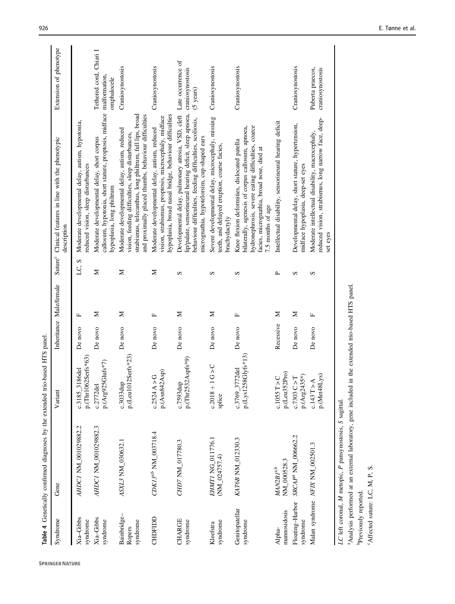<span id="page-6-0"></span>

|                                   | Table 4 Genetically confirmed diagnoses by the extended trio-based HTS panel |                                       |           |                         |              |                                                                                                                                                                                                                           |                                                               |
|-----------------------------------|------------------------------------------------------------------------------|---------------------------------------|-----------|-------------------------|--------------|---------------------------------------------------------------------------------------------------------------------------------------------------------------------------------------------------------------------------|---------------------------------------------------------------|
| Syndrome                          | Gene                                                                         | Variant                               |           | Inheritance Male/female |              | Suture <sup>c</sup> Clinical features in line with the phenotypic<br>description                                                                                                                                          | Extension of phenotype                                        |
| Xia-Gibbs<br>syndrome             | AHDC1 NM_001029882.2                                                         | p.(Thr1062Serfs*63)<br>c.3185_3186del | De novo   | щ                       | LC, S        | Moderate developmental delay, autism, hypotomia,<br>reduced vision, sleep disturbances                                                                                                                                    |                                                               |
| Xia-Gibbs<br>syndrome             | AHDC1 NM_001029882.3                                                         | p.(Arg925Glufs*7)<br>$c.2772$ del     | De novo   | Z                       | Σ            | callosum, hypotonia, short stature, proptosis, midface malformation,<br>Moderate developmental delay, short corpus<br>hypoplasia, long philtrum                                                                           | Tethered cord, Chiari I<br>omphalocele                        |
| Bainbridge-<br>syndrome<br>Ropers | ASXL3 NM 030632.1                                                            | p.(Leu1012Serfs*23)<br>c.3033dup      | De novo   | Σ                       | Σ            | strabismus, telecanthus, long philtrum, full lips, broad<br>and proximally placed thumbs, behaviour difficulties<br>Moderate developmental delay, autism, reduced<br>vision, feeding difficulties, sleep disturbances,    | Craniosynostosis                                              |
| CHDFIDD                           | CDK13 <sup>a,b</sup> NM_003718.4                                             | p.(Asn842Asp)<br>c.2524A > G          | De novo   | щ                       | Σ            | hypoplasia, broad nasal bridge, behaviour difficulties<br>vision, strabismus, proptosis, microcephaly, midface<br>Moderate developmental delay, autism, reduced                                                           | Craniosynostosis                                              |
| CHARGE<br>syndrome                | CHD7 NM_017780.3                                                             | p.(Thr2532Aspfs*9)<br>c.7593dup       | De novo   | Z                       | S            | lip/palate, sensorineural hearing deficit, sleep apnoea,<br>Developmental delay, pulmonary atresia, VSD, cleft<br>behaviour difficulties, feeding difficulties, scoliosis,<br>micrognathia, hypotelorsim, cup-shaped ears | Late occurrence of<br>craniosynostosis<br>$(5 \text{ years})$ |
| syndrome<br>Kleefstra             | EHMTI NG_011776.1<br>$(NM_024757.4)$                                         | $c.2018 + 1 G > C$<br>splice          | De novo   | Σ                       | S            | Severe developmental delay, microcephaly, missing<br>teeth, and delayed eruption, coarse facies,<br>brachydactyly                                                                                                         | Craniosynostosis                                              |
| Genitopatellar<br>syndrome        | KAT6B NM_012330.3                                                            | p.(Lys1258Glyfs*13)<br>c.3769_3772del | De novo   | щ                       | S            | hydronephrosis, severe eating difficulties, coarce<br>bilaterally, agenesis of corpus callosum, apnoea,<br>Knee flexion deformities, dislocated patella<br>facies, micrognathia, broad nose, died at<br>7.5 months of age | Craniosynostosis                                              |
| mannosidosis<br>Alpha-            | NM_000528.3<br>$\it{MAN2B1^{\rm a,b}}$                                       | p.(Leu352Pro)<br>c.1055T > C          | Recessive | Σ                       | $\mathbf{r}$ | Intellectual disability, sensorineural hearing deficit                                                                                                                                                                    |                                                               |
| Floating-Harbor<br>syndrome       | SRCAP <sup>ª</sup> NM_006662.2                                               | p.(Arg2435*)<br>c.7303C > T           | De novo   | Σ                       | S            | Developmental delay, short stature, hypertension,<br>midface hypoplasia, deep-set eyes                                                                                                                                    | Craniosynostosis                                              |
|                                   | Malan syndrome NFIX NM_002501.3                                              | p.(Met48Lys)<br>c.143 T > A           | De novo   | щ                       | S            | reduced vision, strabismus, long narrow face, deep-<br>Moderate intellectual disability, macrocephaly,<br>set eyes                                                                                                        | Puberta praecox,<br>craniosynostosis                          |
|                                   |                                                                              |                                       |           |                         |              |                                                                                                                                                                                                                           |                                                               |

LC left coronal, M metopic, P pansynostosis, S sagittal. LC left coronal, M metopic, P pansynostosis, S sagittal.

<sup>a</sup>Analysis performed at an external laboratory, gene included in the extended trio-based HTS panel. aAnalysis performed at an external laboratory, gene included in the extended trio-based HTS panel. <sup>b</sup>Previously reported. bPreviously reported.

 $^{\circ}$ Affected suture: LC, M, P, S. cAffected suture: LC, M, P, S.

**SPRINGER NATURE**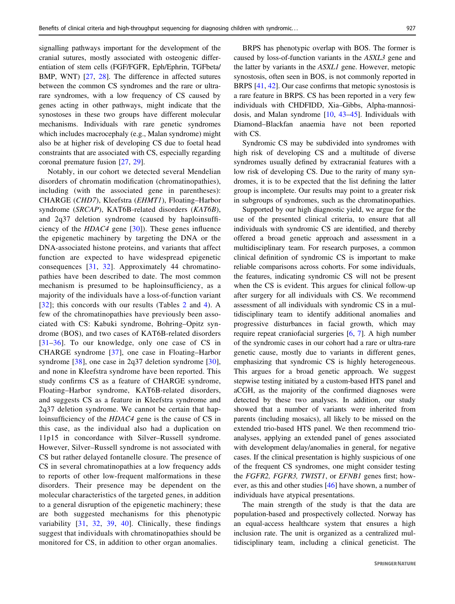signalling pathways important for the development of the cranial sutures, mostly associated with osteogenic differentiation of stem cells (FGF/FGFR, Eph/Ephrin, TGFbeta/ BMP, WNT) [\[27](#page-9-0), [28](#page-9-0)]. The difference in affected sutures between the common CS syndromes and the rare or ultrarare syndromes, with a low frequency of CS caused by genes acting in other pathways, might indicate that the synostoses in these two groups have different molecular mechanisms. Individuals with rare genetic syndromes which includes macrocephaly (e.g., Malan syndrome) might also be at higher risk of developing CS due to foetal head constraints that are associated with CS, especially regarding coronal premature fusion [[27](#page-9-0), [29](#page-9-0)].

Notably, in our cohort we detected several Mendelian disorders of chromatin modification (chromatinopathies), including (with the associated gene in parentheses): CHARGE (CHD7), Kleefstra (EHMT1), Floating–Harbor syndrome (SRCAP), KAT6B-related disorders (KAT6B), and 2q37 deletion syndrome (caused by haploinsufficiency of the  $HDAC4$  gene  $[30]$  $[30]$  $[30]$ ). These genes influence the epigenetic machinery by targeting the DNA or the DNA-associated histone proteins, and variants that affect function are expected to have widespread epigenetic consequences [[31](#page-9-0), [32\]](#page-9-0). Approximately 44 chromatinopathies have been described to date. The most common mechanism is presumed to be haploinsufficiency, as a majority of the individuals have a loss-of-function variant [\[32\]](#page-9-0); this concords with our results (Tables [2](#page-3-0) and [4](#page-6-0)). A few of the chromatinopathies have previously been associated with CS: Kabuki syndrome, Bohring–Opitz syndrome (BOS), and two cases of KAT6B-related disorders [\[31](#page-9-0)–[36](#page-9-0)]. To our knowledge, only one case of CS in CHARGE syndrome [[37](#page-9-0)], one case in Floating–Harbor syndrome [[38\]](#page-9-0), one case in 2q37 deletion syndrome [[30](#page-9-0)], and none in Kleefstra syndrome have been reported. This study confirms CS as a feature of CHARGE syndrome, Floating–Harbor syndrome, KAT6B-related disorders, and suggests CS as a feature in Kleefstra syndrome and 2q37 deletion syndrome. We cannot be certain that haploinsufficiency of the HDAC4 gene is the cause of CS in this case, as the individual also had a duplication on 11p15 in concordance with Silver–Russell syndrome. However, Silver–Russell syndrome is not associated with CS but rather delayed fontanelle closure. The presence of CS in several chromatinopathies at a low frequency adds to reports of other low-frequent malformations in these disorders. Their presence may be dependent on the molecular characteristics of the targeted genes, in addition to a general disruption of the epigenetic machinery; these are both suggested mechanisms for this phenotypic variability [\[31,](#page-9-0) [32](#page-9-0), [39](#page-9-0), [40\]](#page-9-0). Clinically, these findings suggest that individuals with chromatinopathies should be monitored for CS, in addition to other organ anomalies.

BRPS has phenotypic overlap with BOS. The former is caused by loss-of-function variants in the ASXL3 gene and the latter by variants in the ASXL1 gene. However, metopic synostosis, often seen in BOS, is not commonly reported in BRPS [\[41](#page-9-0), [42\]](#page-9-0). Our case confirms that metopic synostosis is a rare feature in BRPS. CS has been reported in a very few individuals with CHDFIDD, Xia–Gibbs, Alpha-mannosidosis, and Malan syndrome [[10,](#page-8-0) [43](#page-9-0)–[45](#page-9-0)]. Individuals with Diamond–Blackfan anaemia have not been reported with CS.

Syndromic CS may be subdivided into syndromes with high risk of developing CS and a multitude of diverse syndromes usually defined by extracranial features with a low risk of developing CS. Due to the rarity of many syndromes, it is to be expected that the list defining the latter group is incomplete. Our results may point to a greater risk in subgroups of syndromes, such as the chromatinopathies.

Supported by our high diagnostic yield, we argue for the use of the presented clinical criteria, to ensure that all individuals with syndromic CS are identified, and thereby offered a broad genetic approach and assessment in a multidisciplinary team. For research purposes, a common clinical definition of syndromic CS is important to make reliable comparisons across cohorts. For some individuals, the features, indicating syndromic CS will not be present when the CS is evident. This argues for clinical follow-up after surgery for all individuals with CS. We recommend assessment of all individuals with syndromic CS in a multidisciplinary team to identify additional anomalies and progressive disturbances in facial growth, which may require repeat craniofacial surgeries [\[6](#page-8-0), [7\]](#page-8-0). A high number of the syndromic cases in our cohort had a rare or ultra-rare genetic cause, mostly due to variants in different genes, emphasizing that syndromic CS is highly heterogeneous. This argues for a broad genetic approach. We suggest stepwise testing initiated by a custom-based HTS panel and aCGH, as the majority of the confirmed diagnoses were detected by these two analyses. In addition, our study showed that a number of variants were inherited from parents (including mosaics), all likely to be missed on the extended trio-based HTS panel. We then recommend trioanalyses, applying an extended panel of genes associated with development delay/anomalies in general, for negative cases. If the clinical presentation is highly suspicious of one of the frequent CS syndromes, one might consider testing the FGFR2, FGFR3, TWIST1, or EFNB1 genes first; however, as this and other studies [\[46](#page-9-0)] have shown, a number of individuals have atypical presentations.

The main strength of the study is that the data are population-based and prospectively collected. Norway has an equal-access healthcare system that ensures a high inclusion rate. The unit is organized as a centralized multidisciplinary team, including a clinical geneticist. The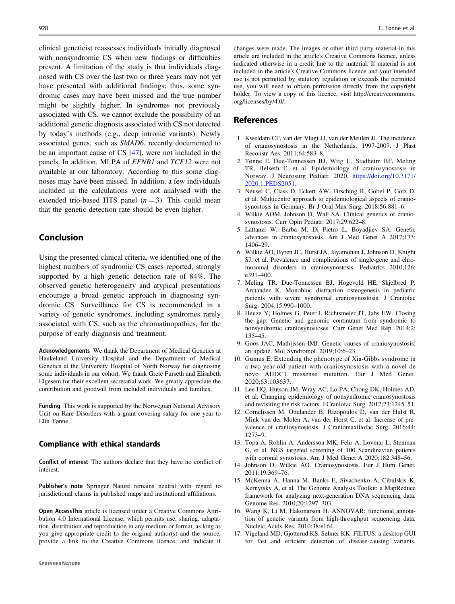<span id="page-8-0"></span>clinical geneticist reassesses individuals initially diagnosed with nonsyndromic CS when new findings or difficulties present. A limitation of the study is that individuals diagnosed with CS over the last two or three years may not yet have presented with additional findings; thus, some syndromic cases may have been missed and the true number might be slightly higher. In syndromes not previously associated with CS, we cannot exclude the possibility of an additional genetic diagnosis associated with CS not detected by today's methods (e.g., deep intronic variants). Newly associated genes, such as SMAD6, recently documented to be an important cause of CS [\[47](#page-9-0)], were not included in the panels. In addition, MLPA of EFNB1 and TCF12 were not available at our laboratory. According to this some diagnoses may have been missed. In addition, a few individuals included in the calculations were not analysed with the extended trio-based HTS panel  $(n = 3)$ . This could mean that the genetic detection rate should be even higher.

# Conclusion

Using the presented clinical criteria, we identified one of the highest numbers of syndromic CS cases reported, strongly supported by a high genetic detection rate of 84%. The observed genetic heterogeneity and atypical presentations encourage a broad genetic approach in diagnosing syndromic CS. Surveillance for CS is recommended in a variety of genetic syndromes, including syndromes rarely associated with CS, such as the chromatinopathies, for the purpose of early diagnosis and treatment.

Acknowledgements We thank the Department of Medical Genetics at Haukeland University Hospital and the Department of Medical Genetics at the University Hospital of North Norway for diagnosing some individuals in our cohort. We thank Grete Furseth and Elisabeth Elgesem for their excellent secretarial work. We greatly appreciate the contribution and goodwill from included individuals and families.

Funding This work is supported by the Norwegian National Advisory Unit on Rare Disorders with a grant covering salary for one year to Elin Tønne.

#### Compliance with ethical standards

Conflict of interest The authors declare that they have no conflict of interest.

Publisher's note Springer Nature remains neutral with regard to jurisdictional claims in published maps and institutional affiliations.

Open AccessThis article is licensed under a Creative Commons Attribution 4.0 International License, which permits use, sharing, adaptation, distribution and reproduction in any medium or format, as long as you give appropriate credit to the original author(s) and the source, provide a link to the Creative Commons licence, and indicate if changes were made. The images or other third party material in this article are included in the article's Creative Commons licence, unless indicated otherwise in a credit line to the material. If material is not included in the article's Creative Commons licence and your intended use is not permitted by statutory regulation or exceeds the permitted use, you will need to obtain permission directly from the copyright holder. To view a copy of this licence, visit http://creativecommons. org/licenses/by/4.0/.

## References

- 1. Kweldam CF, van der Vlugt JJ, van der Meulen JJ. The incidence of craniosynostosis in the Netherlands, 1997-2007. J Plast Reconstr Aes. 2011;64:583–8.
- 2. Tønne E, Due-Tonnessen BJ, Wiig U, Stadheim BF, Meling TR, Helseth E, et al. Epidemiology of craniosynostosis in Norway. J Neurosurg Pediatr. 2020. [https://doi.org/10.3171/](https://doi.org/10.3171/2020.1.PEDS2051) [2020.1.PEDS2051](https://doi.org/10.3171/2020.1.PEDS2051).
- 3. Neusel C, Class D, Eckert AW, Firsching R, Gobel P, Gotz D, et al. Multicentre approach to epidemiological aspects of craniosynostosis in Germany. Br J Oral Max Surg. 2018;56:881–6.
- 4. Wilkie AOM, Johnson D, Wall SA. Clinical genetics of craniosynostosis. Curr Opin Pediatr. 2017;29:622–8.
- 5. Lattanzi W, Barba M, Di Pietro L, Boyadjiev SA. Genetic advances in craniosynostosis. Am J Med Genet A 2017;173: 1406–29.
- 6. Wilkie AO, Byren JC, Hurst JA, Jayamohan J, Johnson D, Knight SJ, et al. Prevalence and complications of single-gene and chromosomal disorders in craniosynostosis. Pediatrics 2010;126: e391–400.
- 7. Meling TR, Due-Tonnessen BJ, Hogevold HE, Skjelbred P, Arctander K. Monobloc distraction osteogenesis in pediatric patients with severe syndromal craniosynostosis. J Craniofac Surg. 2004;15:990–1000.
- 8. Heuze Y, Holmes G, Peter I, Richtsmeier JT, Jabs EW. Closing the gap: Genetic and genomic continuum from syndromic to nonsyndromic craniosynostoses. Curr Genet Med Rep. 2014;2: 135–45.
- 9. Goos JAC, Mathijssen IMJ. Genetic causes of craniosynostosis: an update. Mol Syndromol. 2019;10:6–23.
- 10. Gumus E. Extending the phenotype of Xia-Gibbs syndrome in a two-year-old patient with craniosynostosis with a novel de novo AHDC1 missense mutation. Eur J Med Genet. 2020;63:103637.
- 11. Lee HQ, Hutson JM, Wray AC, Lo PA, Chong DK, Holmes AD, et al. Changing epidemiology of nonsyndromic craniosynostosis and revisiting the risk factors. J Craniofac Surg. 2012;23:1245–51.
- 12. Cornelissen M, Ottelander B, Rizopoulos D, van der Hulst R, Mink van der Molen A, van der Horst C, et al. Increase of prevalence of craniosynostosis. J Craniomaxillofac Surg. 2016;44: 1273–9.
- 13. Topa A, Rohlin A, Andersson MK, Fehr A, Lovmar L, Stenman G, et al. NGS targeted screening of 100 Scandinavian patients with coronal synostosis. Am J Med Genet A 2020;182:348–56.
- 14. Johnson D, Wilkie AO. Craniosynostosis. Eur J Hum Genet. 2011;19:369–76.
- 15. McKenna A, Hanna M, Banks E, Sivachenko A, Cibulskis K, Kernytsky A, et al. The Genome Analysis Toolkit: a MapReduce framework for analyzing next-generation DNA sequencing data. Genome Res. 2010;20:1297–303.
- 16. Wang K, Li M, Hakonarson H. ANNOVAR: functional annotation of genetic variants from high-throughput sequencing data. Nucleic Acids Res. 2010;38:e164.
- 17. Vigeland MD, Gjotterud KS, Selmer KK. FILTUS: a desktop GUI for fast and efficient detection of disease-causing variants,